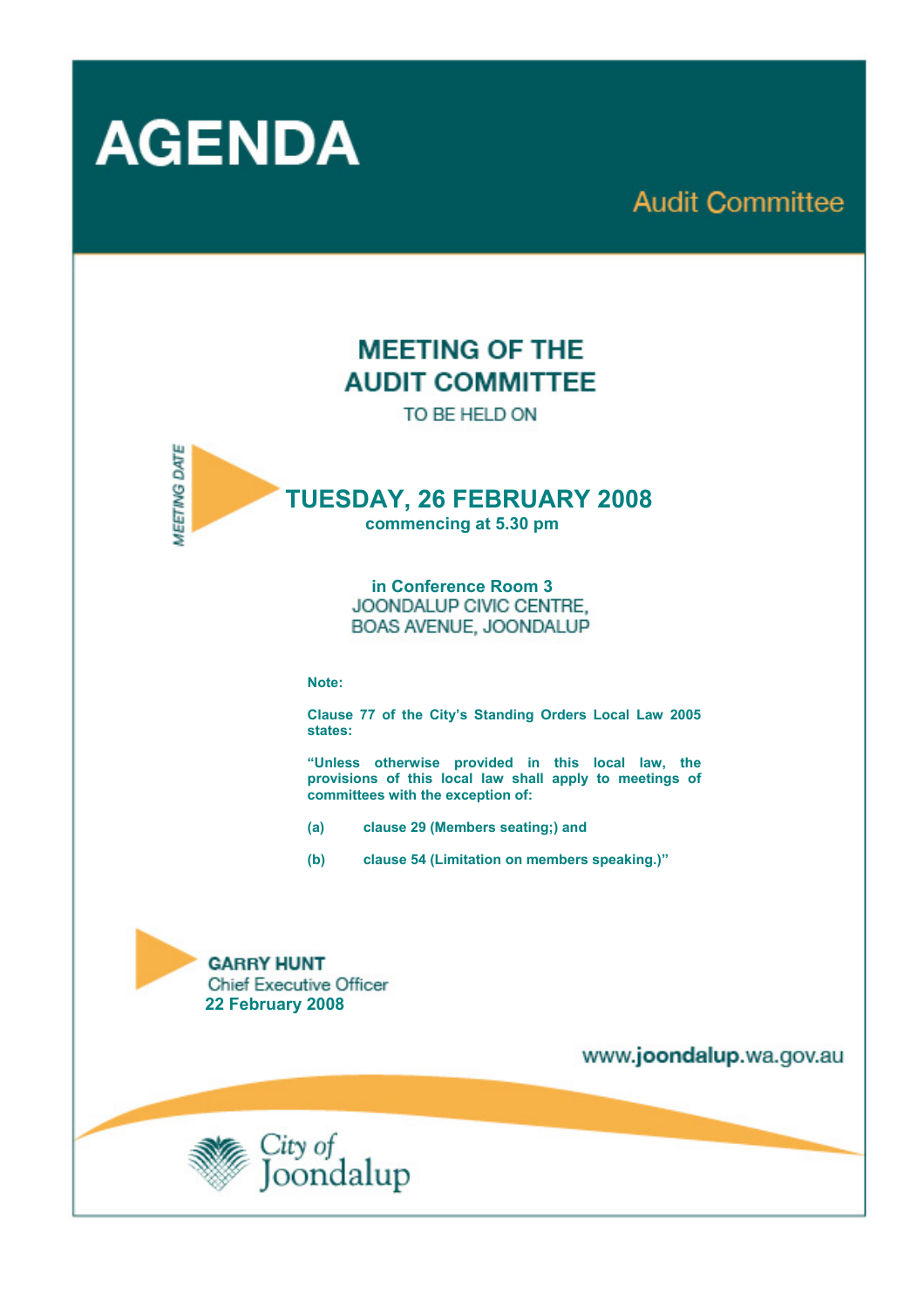

# **Audit Committee**

# **MEETING OF THE AUDIT COMMITTEE**

TO BE HELD ON



## **TUESDAY, 26 FEBRUARY 2008**

**commencing at 5.30 pm** 

**in Conference Room 3 BOAS AVENUE, JOONDALUP** 

#### **Note:**

**Clause 77 of the City's Standing Orders Local Law 2005 states:** 

**"Unless otherwise provided in this local law, the provisions of this local law shall apply to meetings of committees with the exception of:** 

- **(a) clause 29 (Members seating;) and**
- **(b) clause 54 (Limitation on members speaking.)"**

**GARRY HUNT Chief Executive Officer 22 February 2008** 

www.joondalup.wa.gov.au

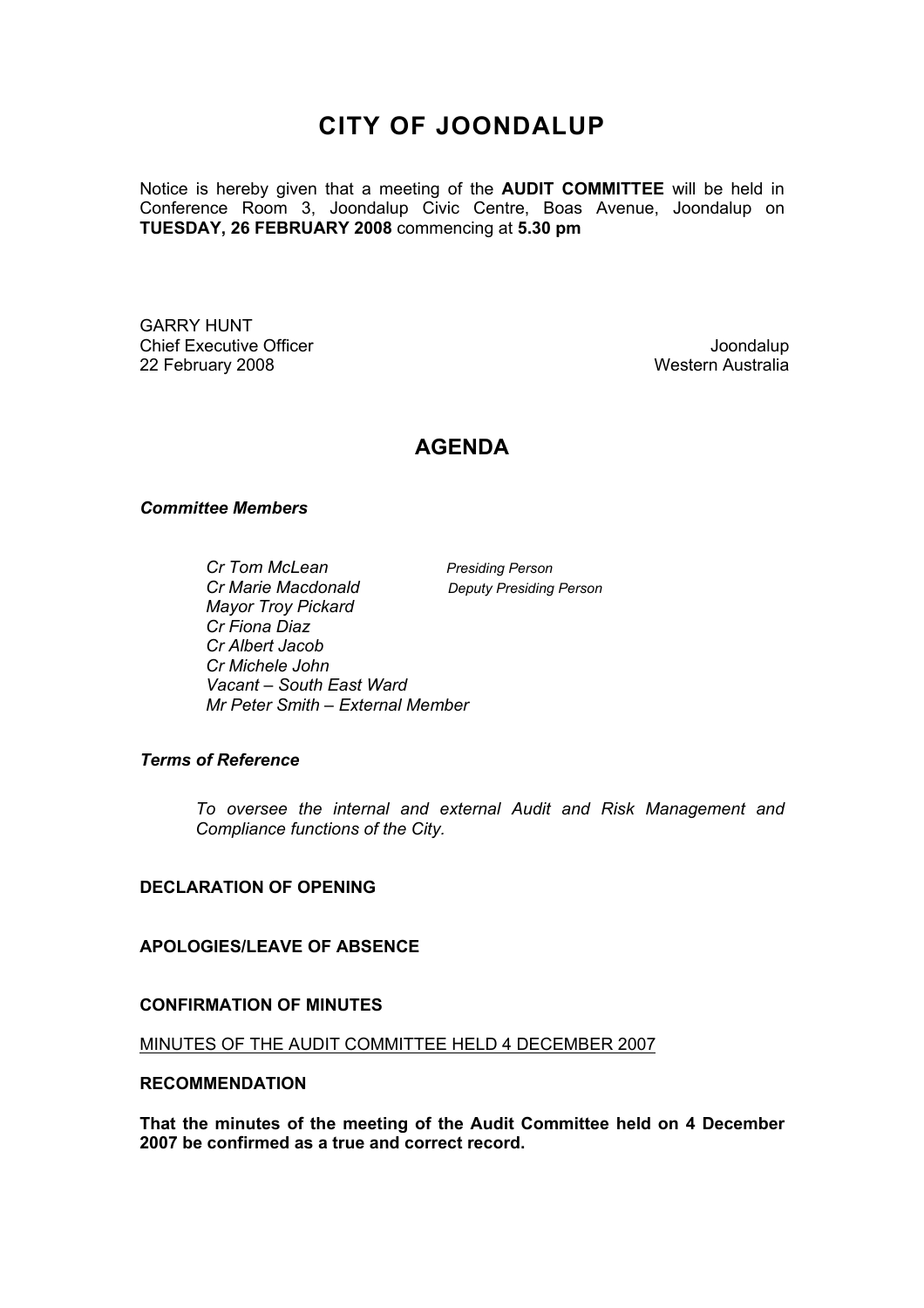## **CITY OF JOONDALUP**

Notice is hereby given that a meeting of the **AUDIT COMMITTEE** will be held in Conference Room 3, Joondalup Civic Centre, Boas Avenue, Joondalup on **TUESDAY, 26 FEBRUARY 2008** commencing at **5.30 pm** 

GARRY HUNT Chief Executive Officer Joondalup 22 February 2008 Western Australia

## **AGENDA**

#### *Committee Members*

*Cr Tom McLean Presiding Person Cr Marie Macdonald Deputy Presiding Person Mayor Troy Pickard Cr Fiona Diaz Cr Albert Jacob Cr Michele John Vacant – South East Ward Mr Peter Smith – External Member* 

#### *Terms of Reference*

*To oversee the internal and external Audit and Risk Management and Compliance functions of the City.* 

#### **DECLARATION OF OPENING**

#### **APOLOGIES/LEAVE OF ABSENCE**

#### **CONFIRMATION OF MINUTES**

MINUTES OF THE AUDIT COMMITTEE HELD 4 DECEMBER 2007

#### **RECOMMENDATION**

**That the minutes of the meeting of the Audit Committee held on 4 December 2007 be confirmed as a true and correct record.**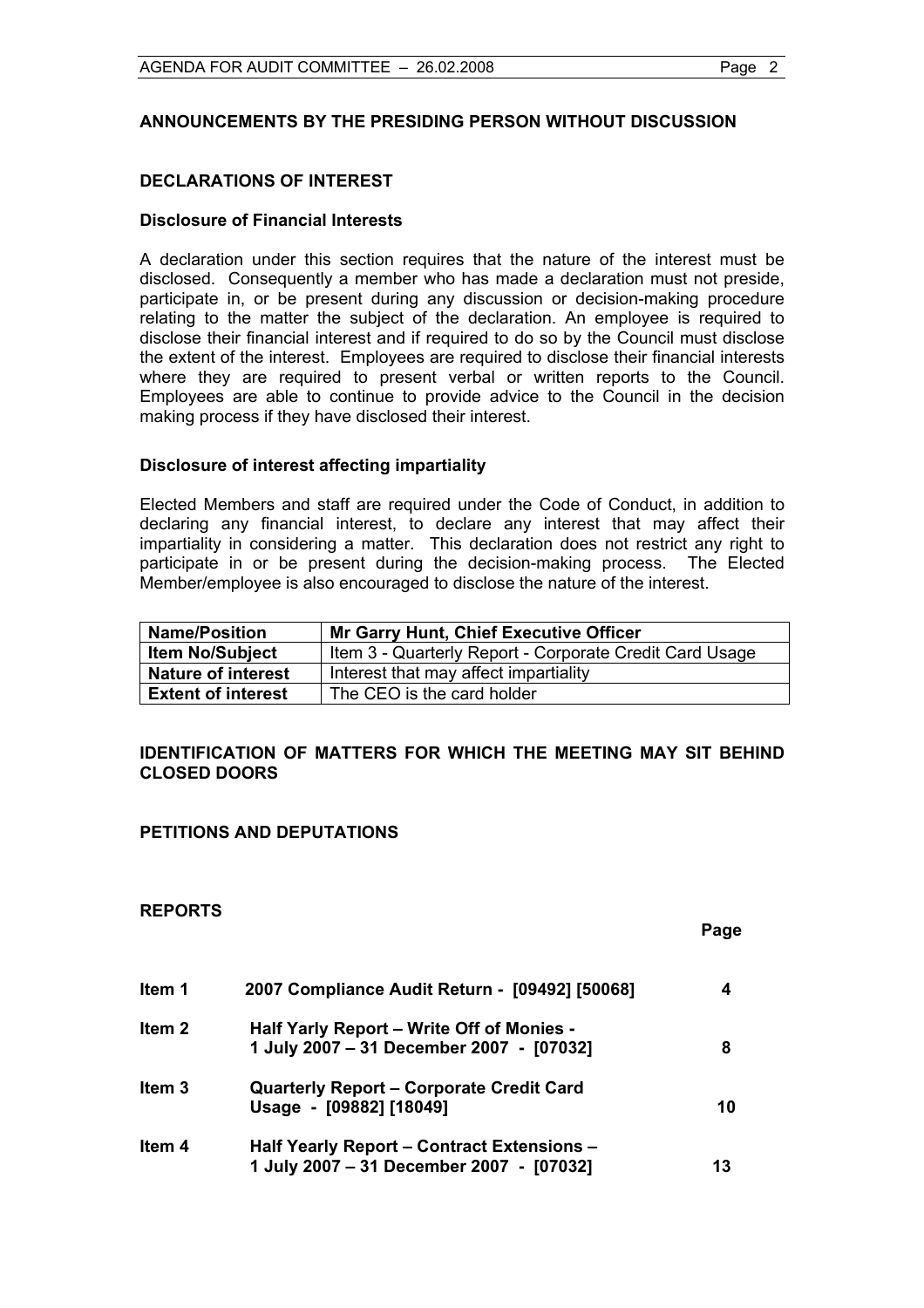#### **ANNOUNCEMENTS BY THE PRESIDING PERSON WITHOUT DISCUSSION**

#### **DECLARATIONS OF INTEREST**

#### **Disclosure of Financial Interests**

A declaration under this section requires that the nature of the interest must be disclosed. Consequently a member who has made a declaration must not preside, participate in, or be present during any discussion or decision-making procedure relating to the matter the subject of the declaration. An employee is required to disclose their financial interest and if required to do so by the Council must disclose the extent of the interest. Employees are required to disclose their financial interests where they are required to present verbal or written reports to the Council. Employees are able to continue to provide advice to the Council in the decision making process if they have disclosed their interest.

#### **Disclosure of interest affecting impartiality**

Elected Members and staff are required under the Code of Conduct, in addition to declaring any financial interest, to declare any interest that may affect their impartiality in considering a matter. This declaration does not restrict any right to participate in or be present during the decision-making process. The Elected Member/employee is also encouraged to disclose the nature of the interest.

| <b>Name/Position</b>      | <b>Mr Garry Hunt, Chief Executive Officer</b>           |  |
|---------------------------|---------------------------------------------------------|--|
| <b>Item No/Subject</b>    | Item 3 - Quarterly Report - Corporate Credit Card Usage |  |
| <b>Nature of interest</b> | Interest that may affect impartiality                   |  |
| <b>Extent of interest</b> | The CEO is the card holder                              |  |

#### **IDENTIFICATION OF MATTERS FOR WHICH THE MEETING MAY SIT BEHIND CLOSED DOORS**

#### **PETITIONS AND DEPUTATIONS**

#### **REPORTS**

|                   |                                                                                               | Page |
|-------------------|-----------------------------------------------------------------------------------------------|------|
| Item 1            | 2007 Compliance Audit Return - [09492] [50068]                                                | 4    |
| Item <sub>2</sub> | Half Yarly Report – Write Off of Monies -<br>1 July 2007 - 31 December 2007 - [07032]         | 8    |
| Item <sub>3</sub> | <b>Quarterly Report - Corporate Credit Card</b><br>Usage - [09882] [18049]                    | 10   |
| Item 4            | <b>Half Yearly Report - Contract Extensions -</b><br>1 July 2007 - 31 December 2007 - [07032] | 13   |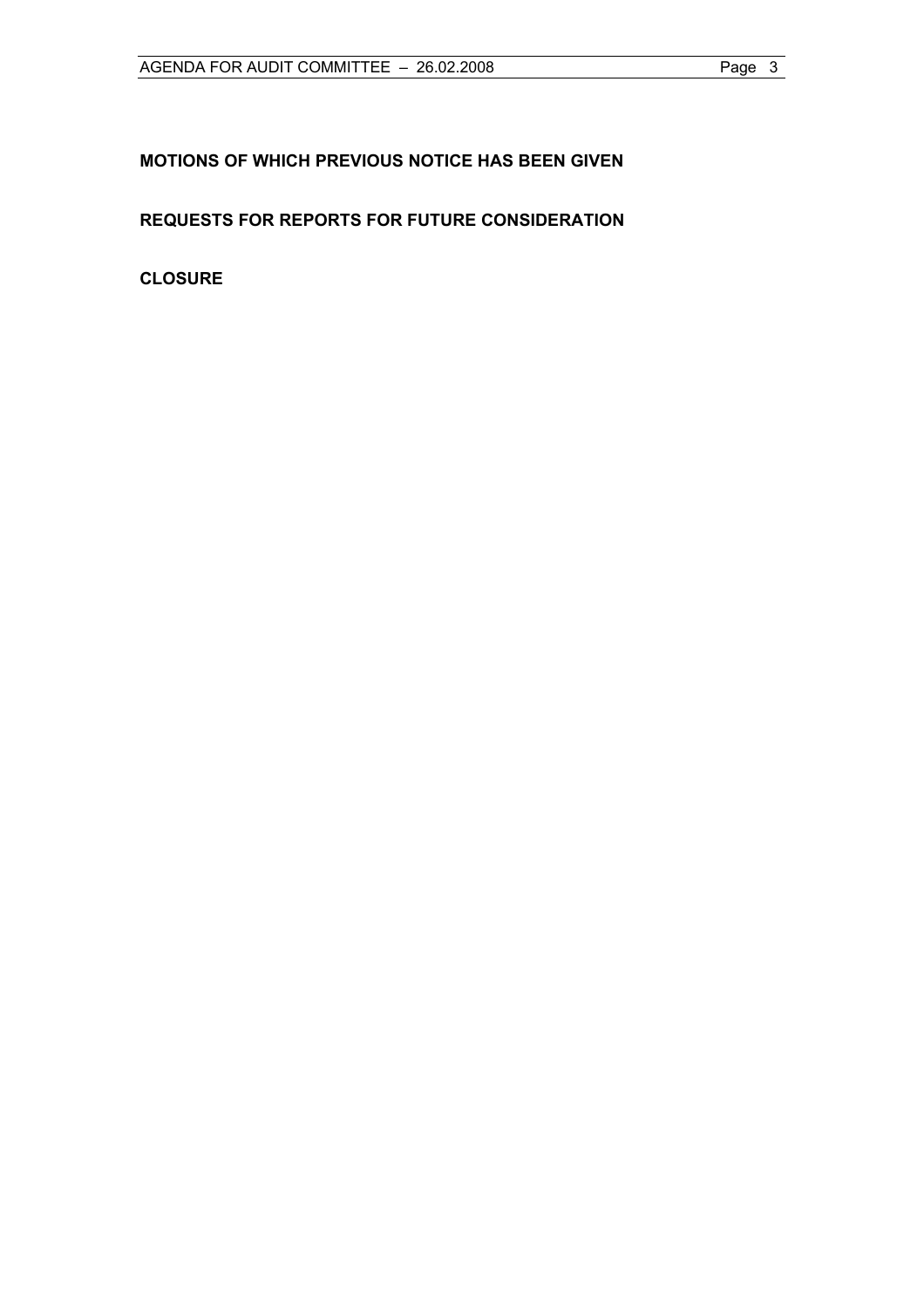### **MOTIONS OF WHICH PREVIOUS NOTICE HAS BEEN GIVEN**

### **REQUESTS FOR REPORTS FOR FUTURE CONSIDERATION**

**CLOSURE**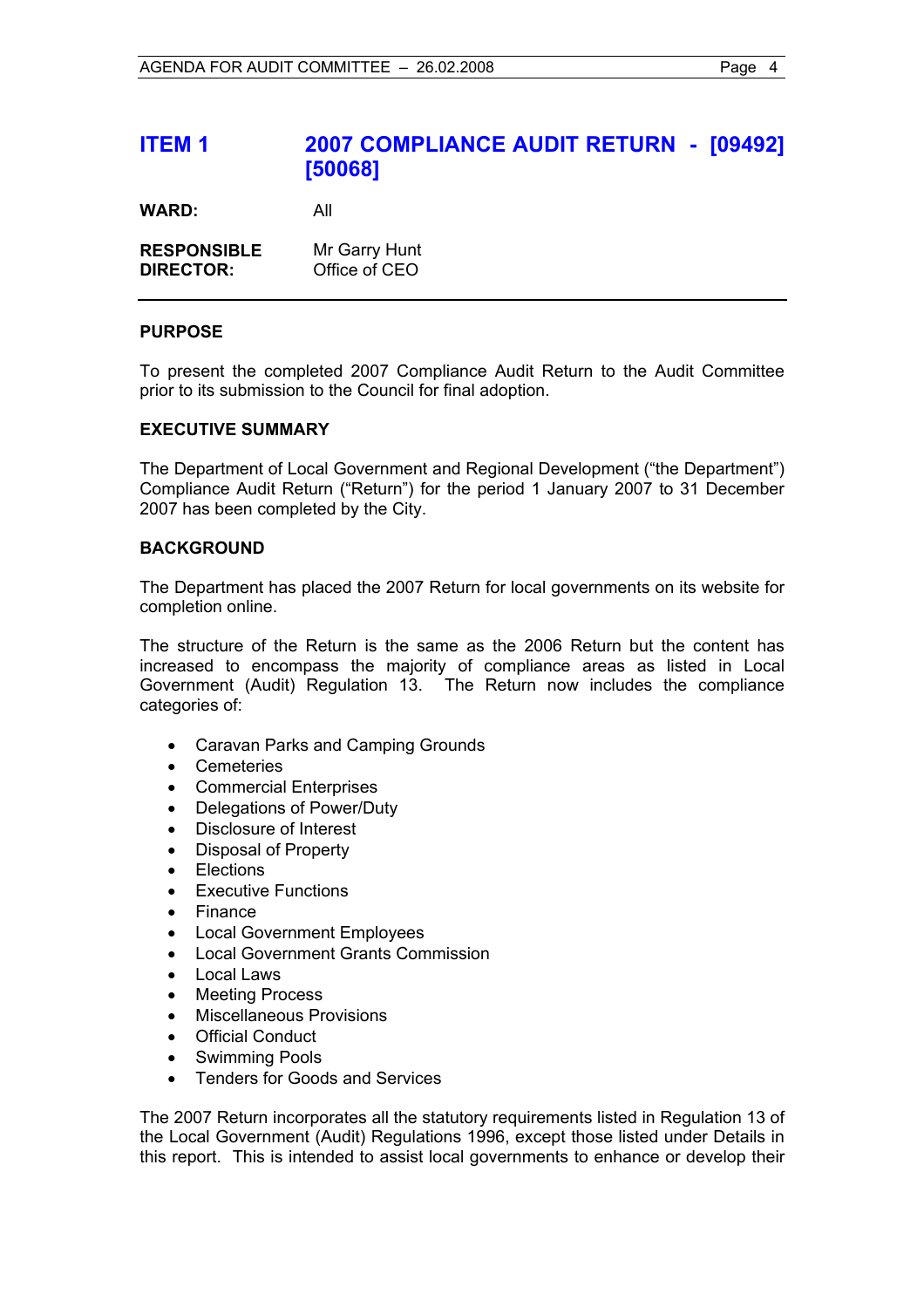## **ITEM 1 2007 COMPLIANCE AUDIT RETURN - [09492] [50068]**

**WARD:** All

| <b>RESPONSIBLE</b> | Mr Garry Hunt |
|--------------------|---------------|
| <b>DIRECTOR:</b>   | Office of CEO |

#### **PURPOSE**

To present the completed 2007 Compliance Audit Return to the Audit Committee prior to its submission to the Council for final adoption.

#### **EXECUTIVE SUMMARY**

The Department of Local Government and Regional Development ("the Department") Compliance Audit Return ("Return") for the period 1 January 2007 to 31 December 2007 has been completed by the City.

#### **BACKGROUND**

The Department has placed the 2007 Return for local governments on its website for completion online.

The structure of the Return is the same as the 2006 Return but the content has increased to encompass the majority of compliance areas as listed in Local Government (Audit) Regulation 13. The Return now includes the compliance categories of:

- Caravan Parks and Camping Grounds
- Cemeteries
- Commercial Enterprises
- Delegations of Power/Duty
- Disclosure of Interest
- Disposal of Property
- **Flections**
- **Executive Functions**
- Finance
- Local Government Employees
- Local Government Grants Commission
- Local Laws
- **Meeting Process**
- Miscellaneous Provisions
- **Official Conduct**
- Swimming Pools
- Tenders for Goods and Services

The 2007 Return incorporates all the statutory requirements listed in Regulation 13 of the Local Government (Audit) Regulations 1996, except those listed under Details in this report. This is intended to assist local governments to enhance or develop their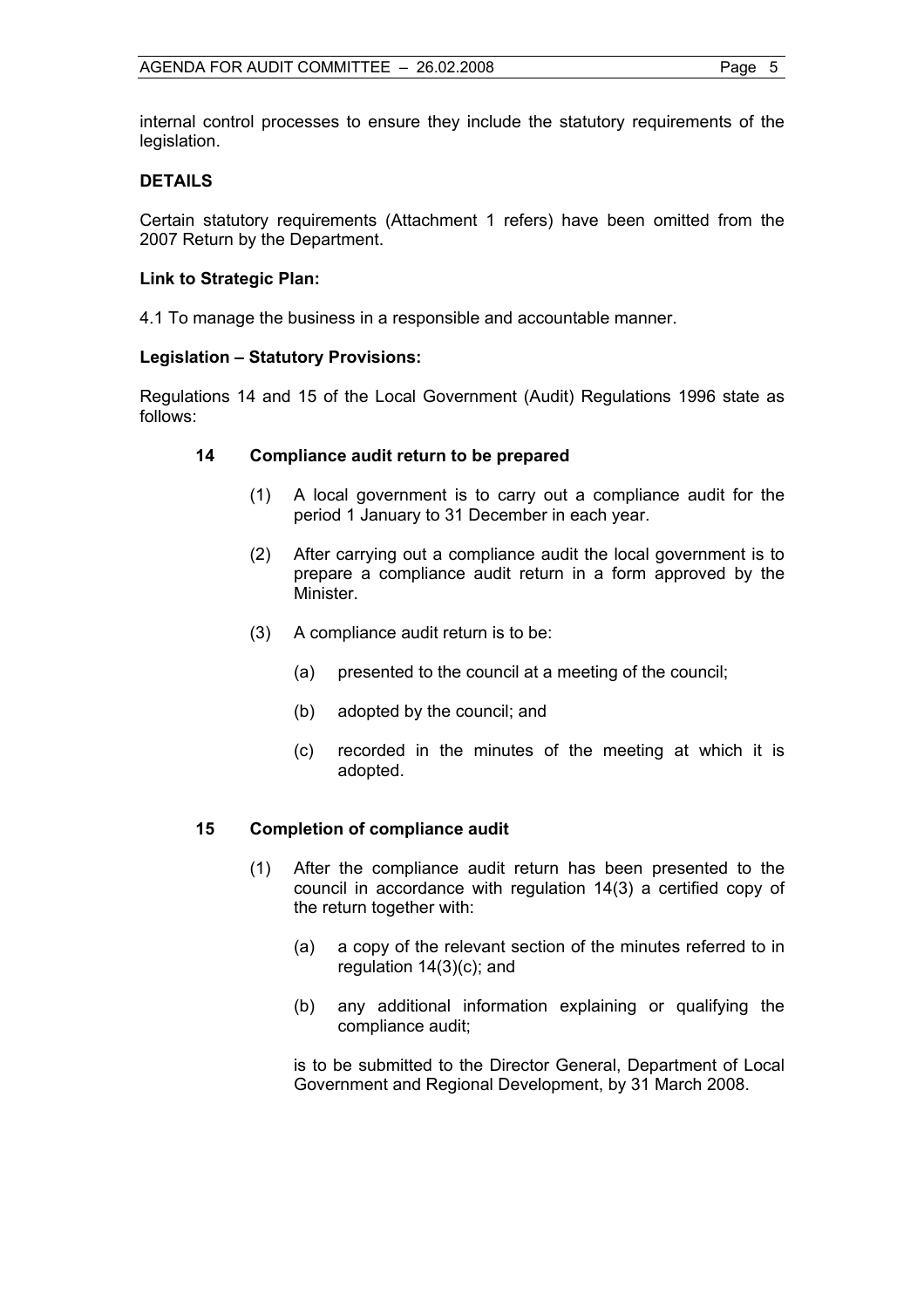internal control processes to ensure they include the statutory requirements of the legislation.

#### **DETAILS**

Certain statutory requirements (Attachment 1 refers) have been omitted from the 2007 Return by the Department.

#### **Link to Strategic Plan:**

4.1 To manage the business in a responsible and accountable manner.

#### **Legislation – Statutory Provisions:**

Regulations 14 and 15 of the Local Government (Audit) Regulations 1996 state as follows:

#### **14 Compliance audit return to be prepared**

- (1) A local government is to carry out a compliance audit for the period 1 January to 31 December in each year.
- (2) After carrying out a compliance audit the local government is to prepare a compliance audit return in a form approved by the Minister.
- (3) A compliance audit return is to be:
	- (a) presented to the council at a meeting of the council;
	- (b) adopted by the council; and
	- (c) recorded in the minutes of the meeting at which it is adopted.

#### **15 Completion of compliance audit**

- (1) After the compliance audit return has been presented to the council in accordance with regulation 14(3) a certified copy of the return together with:
	- (a) a copy of the relevant section of the minutes referred to in regulation 14(3)(c); and
	- (b) any additional information explaining or qualifying the compliance audit;

 is to be submitted to the Director General, Department of Local Government and Regional Development, by 31 March 2008.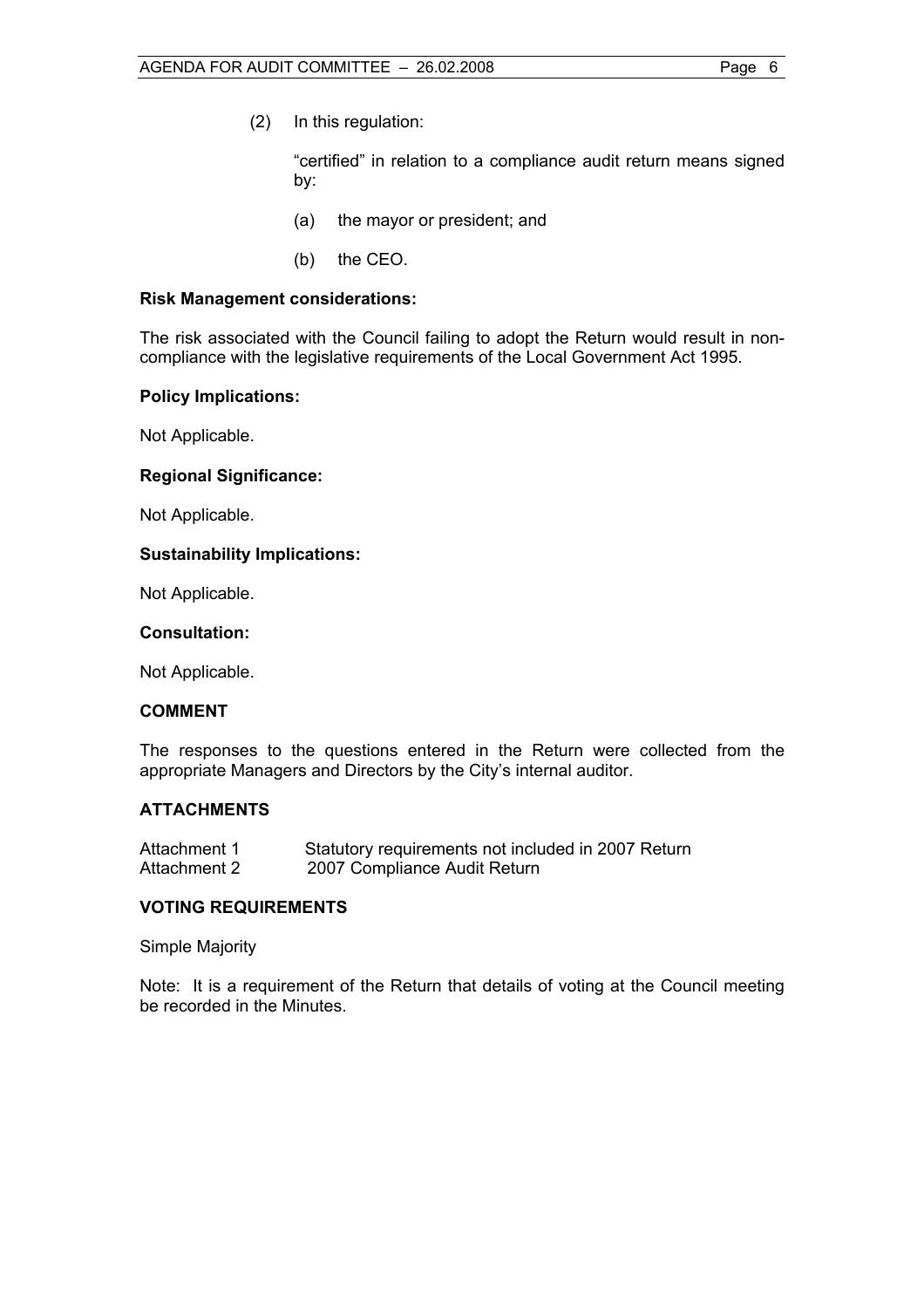"certified" in relation to a compliance audit return means signed by:

- (a) the mayor or president; and
- (b) the CEO.

#### **Risk Management considerations:**

The risk associated with the Council failing to adopt the Return would result in noncompliance with the legislative requirements of the Local Government Act 1995.

#### **Policy Implications:**

Not Applicable.

#### **Regional Significance:**

Not Applicable.

#### **Sustainability Implications:**

Not Applicable.

#### **Consultation:**

Not Applicable.

#### **COMMENT**

The responses to the questions entered in the Return were collected from the appropriate Managers and Directors by the City's internal auditor.

#### **ATTACHMENTS**

| Attachment 1 | Statutory requirements not included in 2007 Return |
|--------------|----------------------------------------------------|
| Attachment 2 | 2007 Compliance Audit Return                       |

#### **VOTING REQUIREMENTS**

Simple Majority

Note: It is a requirement of the Return that details of voting at the Council meeting be recorded in the Minutes.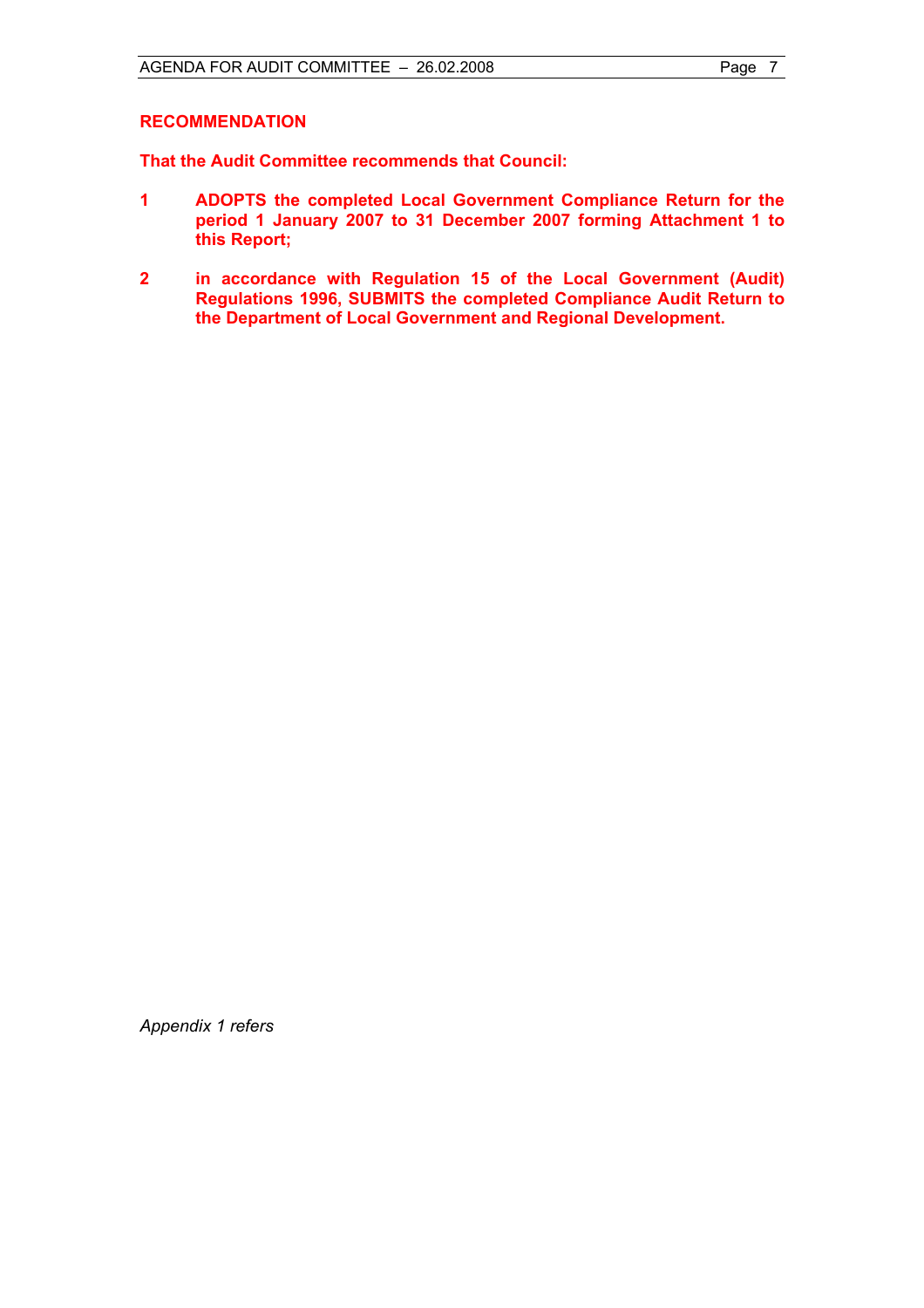#### **RECOMMENDATION**

**That the Audit Committee recommends that Council:** 

- **1 ADOPTS the completed Local Government Compliance Return for the period 1 January 2007 to 31 December 2007 forming Attachment 1 to this Report;**
- **2 in accordance with Regulation 15 of the Local Government (Audit) Regulations 1996, SUBMITS the completed Compliance Audit Return to the Department of Local Government and Regional Development.**

*Appendix 1 refers*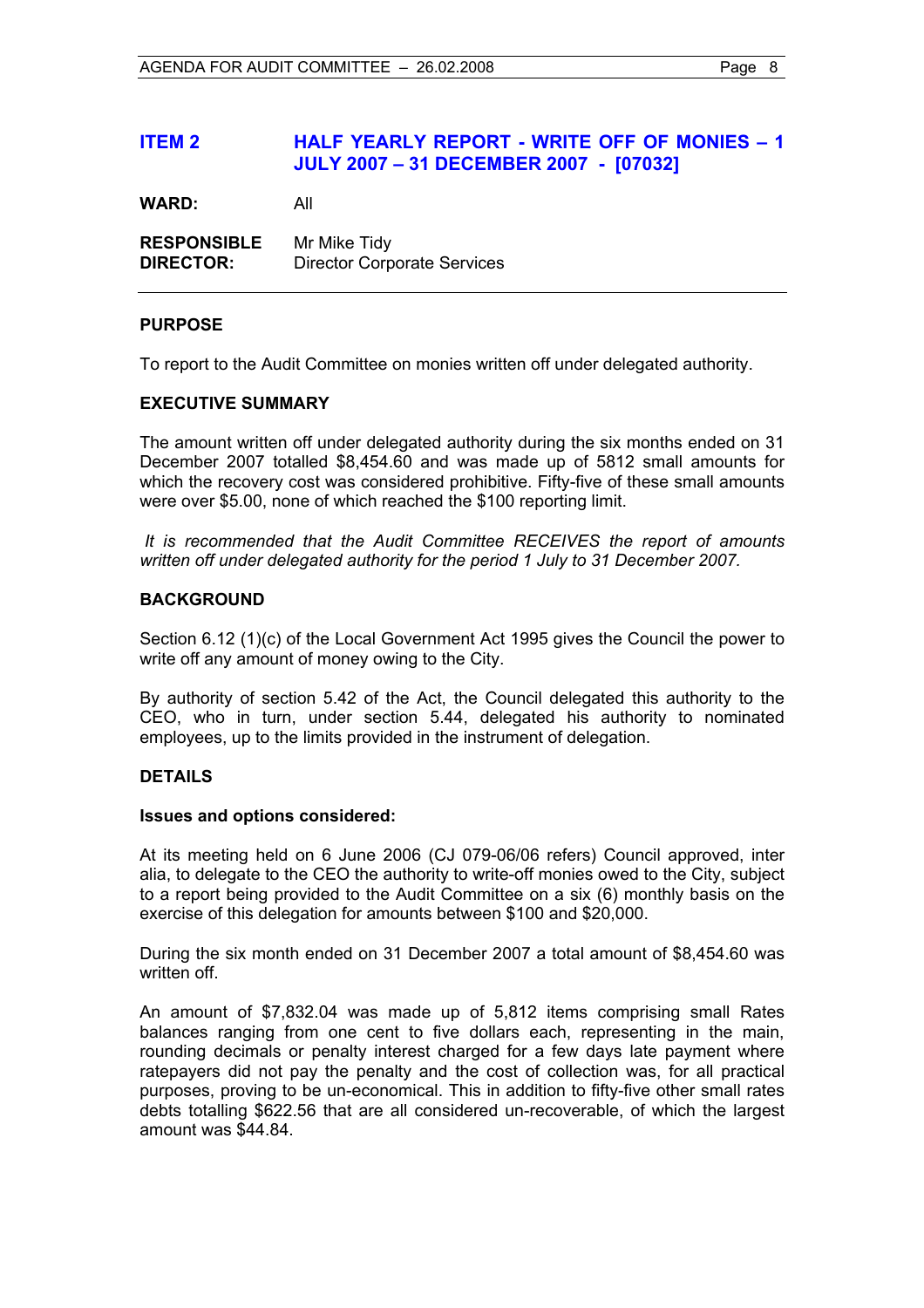#### **ITEM 2 HALF YEARLY REPORT - WRITE OFF OF MONIES – 1 JULY 2007 – 31 DECEMBER 2007 - [07032]**

**WARD:** All

**RESPONSIBLE** Mr Mike Tidy **DIRECTOR:** Director Corporate Services

#### **PURPOSE**

To report to the Audit Committee on monies written off under delegated authority.

#### **EXECUTIVE SUMMARY**

The amount written off under delegated authority during the six months ended on 31 December 2007 totalled \$8,454.60 and was made up of 5812 small amounts for which the recovery cost was considered prohibitive. Fifty-five of these small amounts were over \$5.00, none of which reached the \$100 reporting limit.

*It is recommended that the Audit Committee RECEIVES the report of amounts written off under delegated authority for the period 1 July to 31 December 2007.*

#### **BACKGROUND**

Section 6.12 (1)(c) of the Local Government Act 1995 gives the Council the power to write off any amount of money owing to the City.

By authority of section 5.42 of the Act, the Council delegated this authority to the CEO, who in turn, under section 5.44, delegated his authority to nominated employees, up to the limits provided in the instrument of delegation.

#### **DETAILS**

#### **Issues and options considered:**

At its meeting held on 6 June 2006 (CJ 079-06/06 refers) Council approved, inter alia, to delegate to the CEO the authority to write-off monies owed to the City, subject to a report being provided to the Audit Committee on a six (6) monthly basis on the exercise of this delegation for amounts between \$100 and \$20,000.

During the six month ended on 31 December 2007 a total amount of \$8,454.60 was written off.

An amount of \$7,832.04 was made up of 5,812 items comprising small Rates balances ranging from one cent to five dollars each, representing in the main, rounding decimals or penalty interest charged for a few days late payment where ratepayers did not pay the penalty and the cost of collection was, for all practical purposes, proving to be un-economical. This in addition to fifty-five other small rates debts totalling \$622.56 that are all considered un-recoverable, of which the largest amount was \$44.84.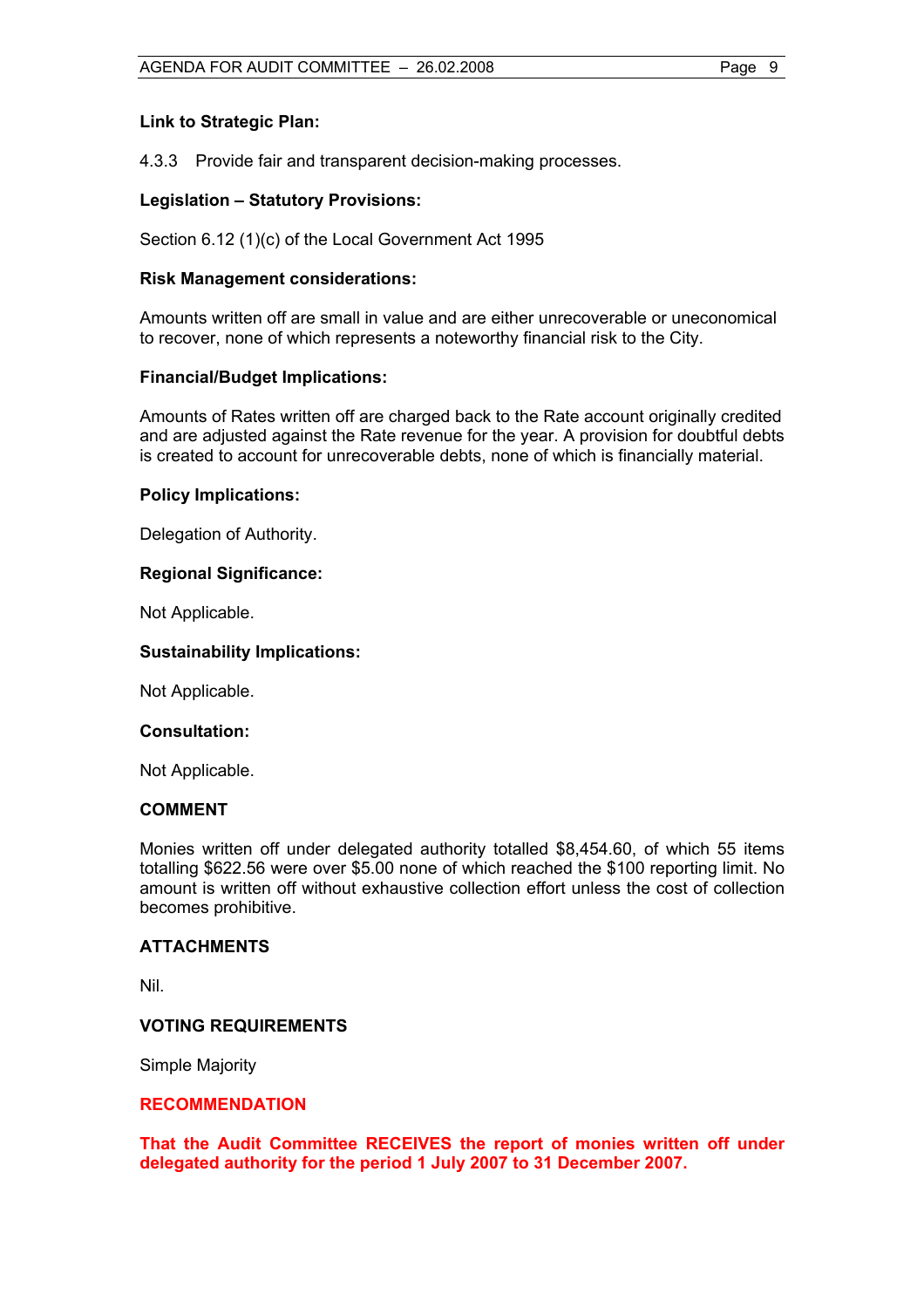#### **Link to Strategic Plan:**

4.3.3 Provide fair and transparent decision-making processes.

#### **Legislation – Statutory Provisions:**

Section 6.12 (1)(c) of the Local Government Act 1995

#### **Risk Management considerations:**

Amounts written off are small in value and are either unrecoverable or uneconomical to recover, none of which represents a noteworthy financial risk to the City.

#### **Financial/Budget Implications:**

Amounts of Rates written off are charged back to the Rate account originally credited and are adjusted against the Rate revenue for the year. A provision for doubtful debts is created to account for unrecoverable debts, none of which is financially material.

#### **Policy Implications:**

Delegation of Authority.

#### **Regional Significance:**

Not Applicable.

#### **Sustainability Implications:**

Not Applicable.

#### **Consultation:**

Not Applicable.

#### **COMMENT**

Monies written off under delegated authority totalled \$8,454.60, of which 55 items totalling \$622.56 were over \$5.00 none of which reached the \$100 reporting limit. No amount is written off without exhaustive collection effort unless the cost of collection becomes prohibitive.

#### **ATTACHMENTS**

Nil.

#### **VOTING REQUIREMENTS**

Simple Majority

#### **RECOMMENDATION**

**That the Audit Committee RECEIVES the report of monies written off under delegated authority for the period 1 July 2007 to 31 December 2007.**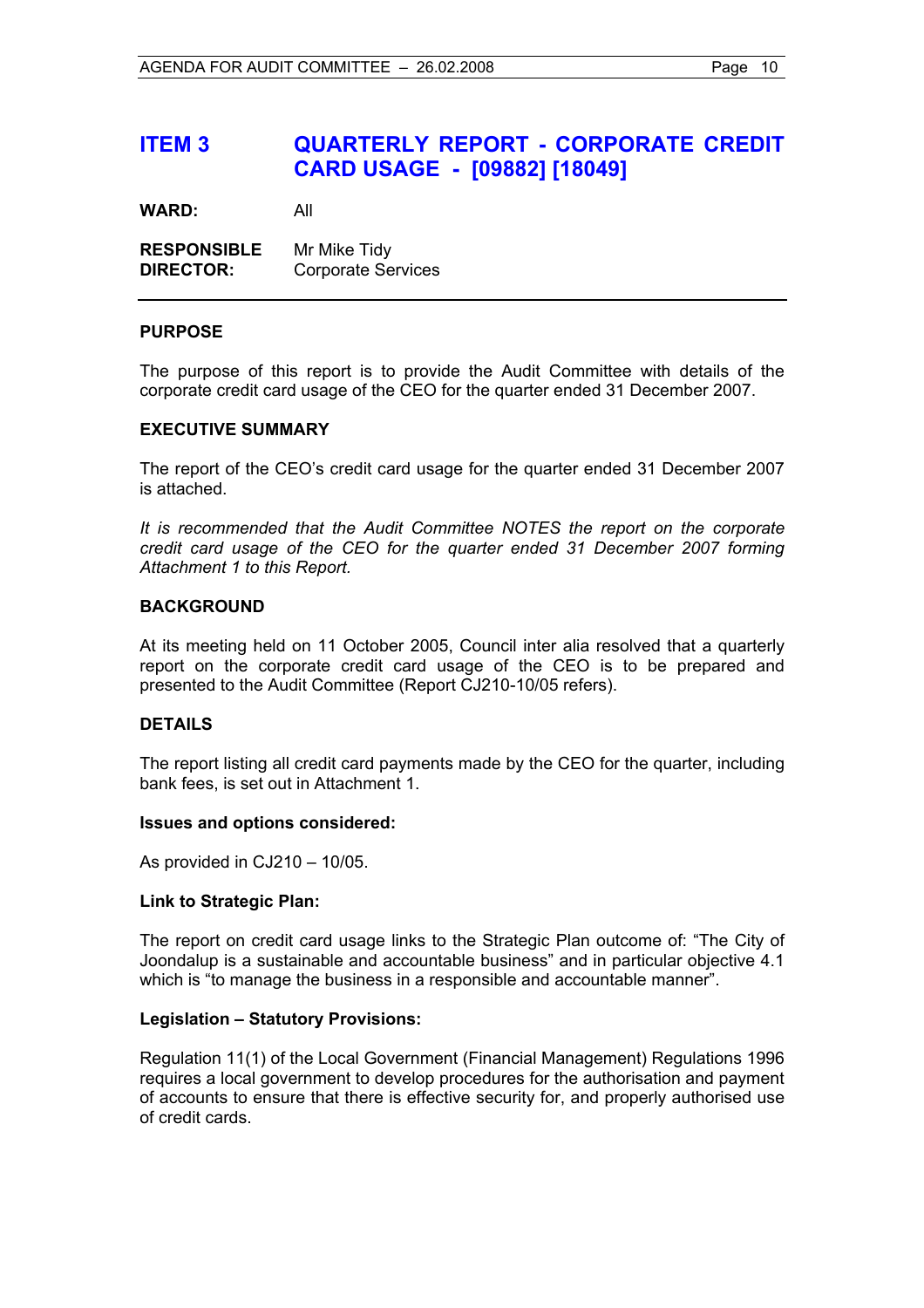## **ITEM 3 QUARTERLY REPORT - CORPORATE CREDIT CARD USAGE - [09882] [18049]**

**WARD:** All

| <b>RESPONSIBLE</b> | Mr Mike Tidy              |
|--------------------|---------------------------|
| <b>DIRECTOR:</b>   | <b>Corporate Services</b> |

#### **PURPOSE**

The purpose of this report is to provide the Audit Committee with details of the corporate credit card usage of the CEO for the quarter ended 31 December 2007.

#### **EXECUTIVE SUMMARY**

The report of the CEO's credit card usage for the quarter ended 31 December 2007 is attached.

*It is recommended that the Audit Committee NOTES the report on the corporate credit card usage of the CEO for the quarter ended 31 December 2007 forming Attachment 1 to this Report.*

#### **BACKGROUND**

At its meeting held on 11 October 2005, Council inter alia resolved that a quarterly report on the corporate credit card usage of the CEO is to be prepared and presented to the Audit Committee (Report CJ210-10/05 refers).

#### **DETAILS**

The report listing all credit card payments made by the CEO for the quarter, including bank fees, is set out in Attachment 1.

#### **Issues and options considered:**

As provided in CJ210 – 10/05.

#### **Link to Strategic Plan:**

The report on credit card usage links to the Strategic Plan outcome of: "The City of Joondalup is a sustainable and accountable business" and in particular objective 4.1 which is "to manage the business in a responsible and accountable manner".

#### **Legislation – Statutory Provisions:**

Regulation 11(1) of the Local Government (Financial Management) Regulations 1996 requires a local government to develop procedures for the authorisation and payment of accounts to ensure that there is effective security for, and properly authorised use of credit cards.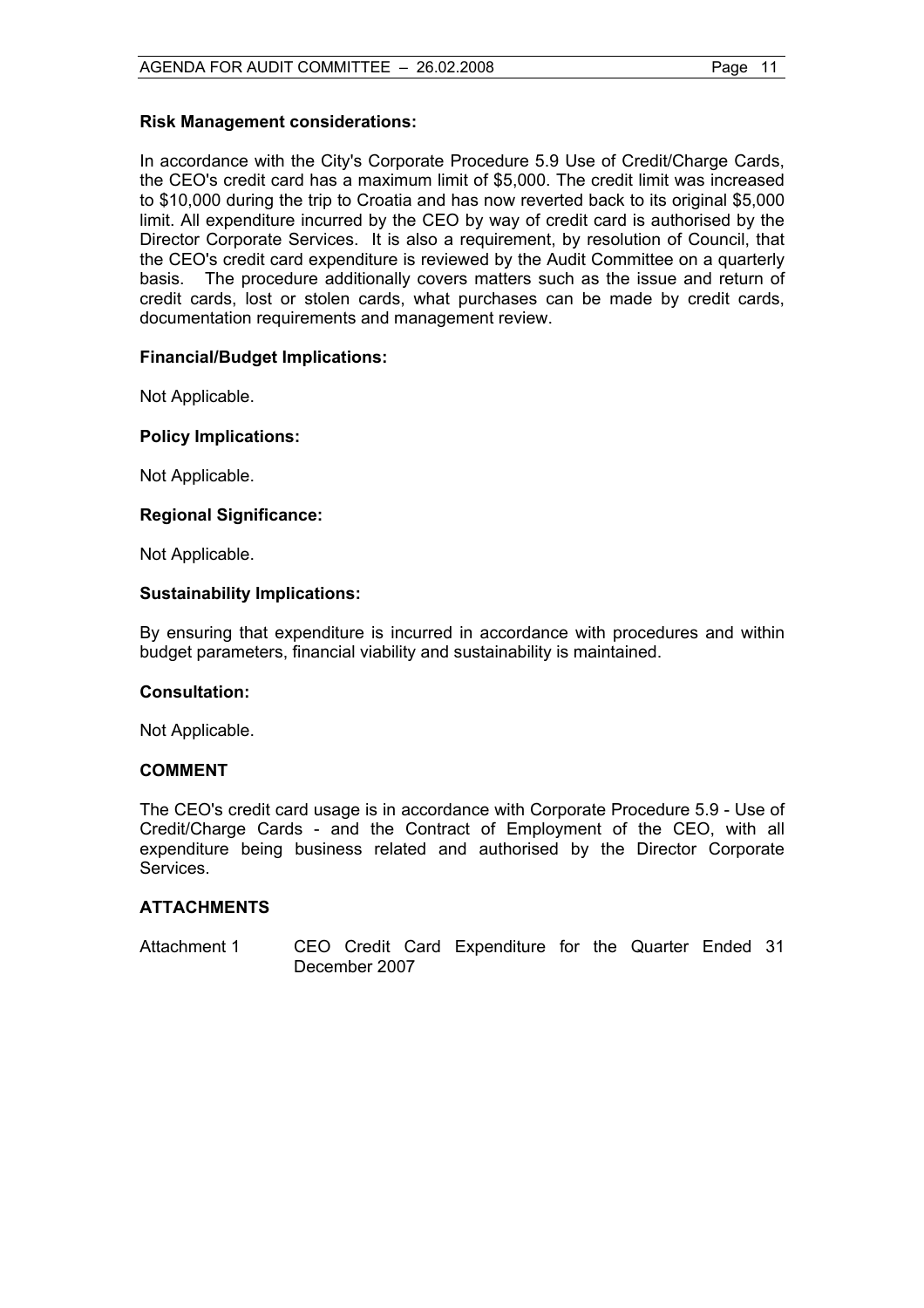#### **Risk Management considerations:**

In accordance with the City's Corporate Procedure 5.9 Use of Credit/Charge Cards, the CEO's credit card has a maximum limit of \$5,000. The credit limit was increased to \$10,000 during the trip to Croatia and has now reverted back to its original \$5,000 limit. All expenditure incurred by the CEO by way of credit card is authorised by the Director Corporate Services. It is also a requirement, by resolution of Council, that the CEO's credit card expenditure is reviewed by the Audit Committee on a quarterly basis. The procedure additionally covers matters such as the issue and return of credit cards, lost or stolen cards, what purchases can be made by credit cards, documentation requirements and management review.

#### **Financial/Budget Implications:**

Not Applicable.

#### **Policy Implications:**

Not Applicable.

#### **Regional Significance:**

Not Applicable.

#### **Sustainability Implications:**

By ensuring that expenditure is incurred in accordance with procedures and within budget parameters, financial viability and sustainability is maintained.

#### **Consultation:**

Not Applicable.

#### **COMMENT**

The CEO's credit card usage is in accordance with Corporate Procedure 5.9 - Use of Credit/Charge Cards - and the Contract of Employment of the CEO, with all expenditure being business related and authorised by the Director Corporate Services.

#### **ATTACHMENTS**

Attachment 1 CEO Credit Card Expenditure for the Quarter Ended 31 December 2007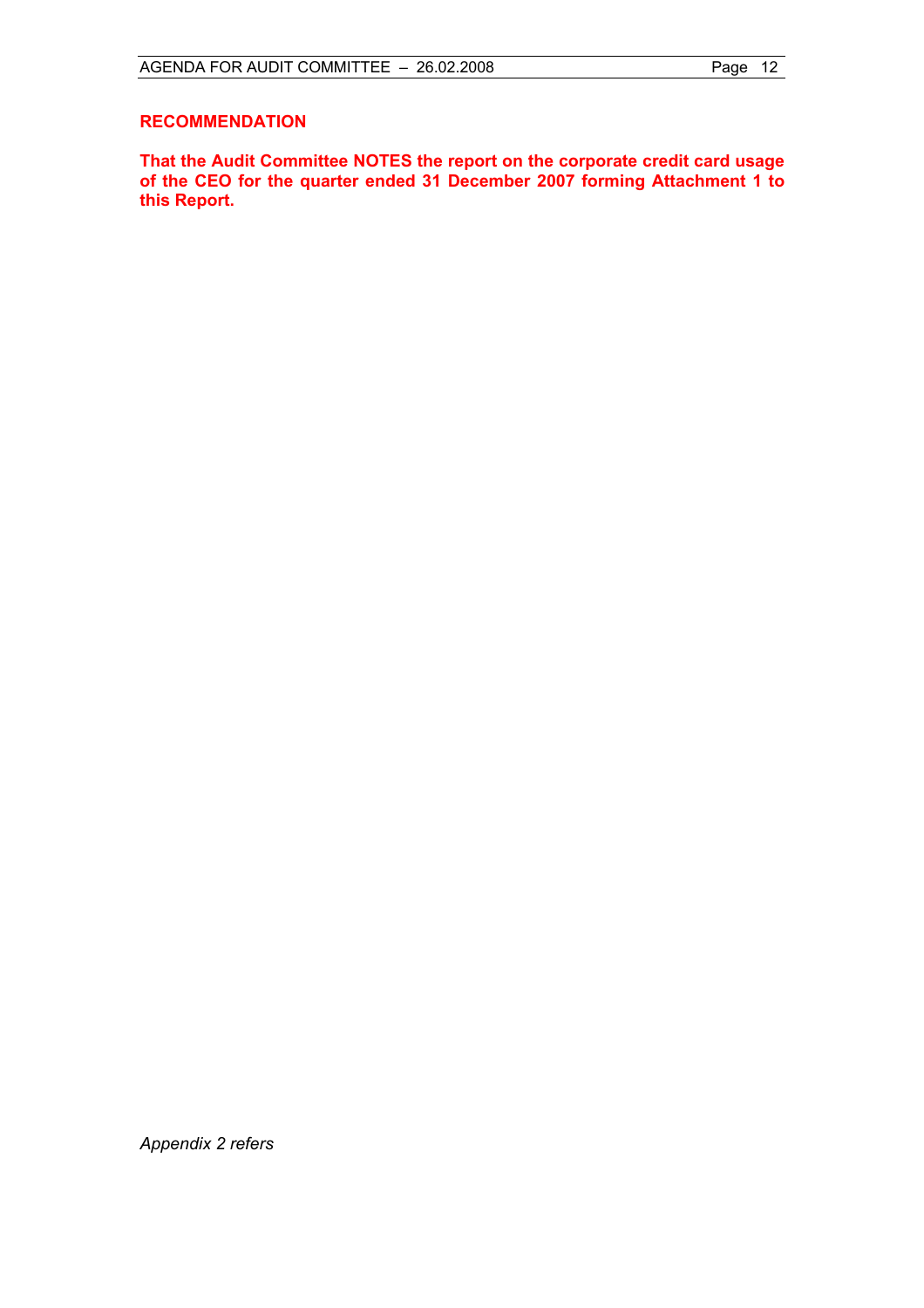#### **RECOMMENDATION**

**That the Audit Committee NOTES the report on the corporate credit card usage of the CEO for the quarter ended 31 December 2007 forming Attachment 1 to this Report.** 

*Appendix 2 refers*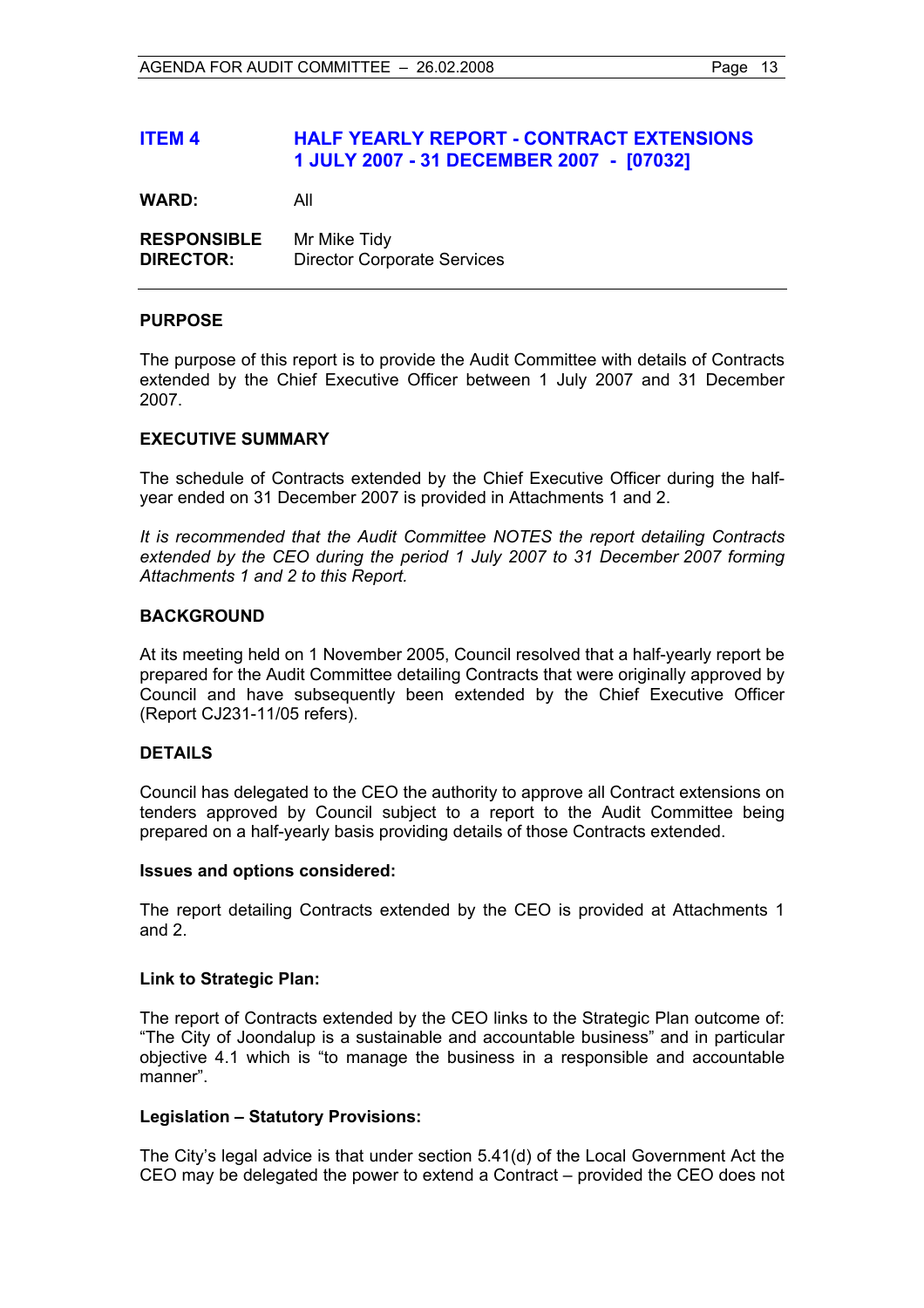#### **ITEM 4 HALF YEARLY REPORT - CONTRACT EXTENSIONS 1 JULY 2007 - 31 DECEMBER 2007 - [07032]**

**WARD:** All

**RESPONSIBLE** Mr Mike Tidy **DIRECTOR:** Director Corporate Services

#### **PURPOSE**

The purpose of this report is to provide the Audit Committee with details of Contracts extended by the Chief Executive Officer between 1 July 2007 and 31 December 2007.

#### **EXECUTIVE SUMMARY**

The schedule of Contracts extended by the Chief Executive Officer during the halfyear ended on 31 December 2007 is provided in Attachments 1 and 2.

*It is recommended that the Audit Committee NOTES the report detailing Contracts extended by the CEO during the period 1 July 2007 to 31 December 2007 forming Attachments 1 and 2 to this Report.*

#### **BACKGROUND**

At its meeting held on 1 November 2005, Council resolved that a half-yearly report be prepared for the Audit Committee detailing Contracts that were originally approved by Council and have subsequently been extended by the Chief Executive Officer (Report CJ231-11/05 refers).

#### **DETAILS**

Council has delegated to the CEO the authority to approve all Contract extensions on tenders approved by Council subject to a report to the Audit Committee being prepared on a half-yearly basis providing details of those Contracts extended.

#### **Issues and options considered:**

The report detailing Contracts extended by the CEO is provided at Attachments 1 and 2.

#### **Link to Strategic Plan:**

The report of Contracts extended by the CEO links to the Strategic Plan outcome of: "The City of Joondalup is a sustainable and accountable business" and in particular objective 4.1 which is "to manage the business in a responsible and accountable manner".

#### **Legislation – Statutory Provisions:**

The City's legal advice is that under section 5.41(d) of the Local Government Act the CEO may be delegated the power to extend a Contract – provided the CEO does not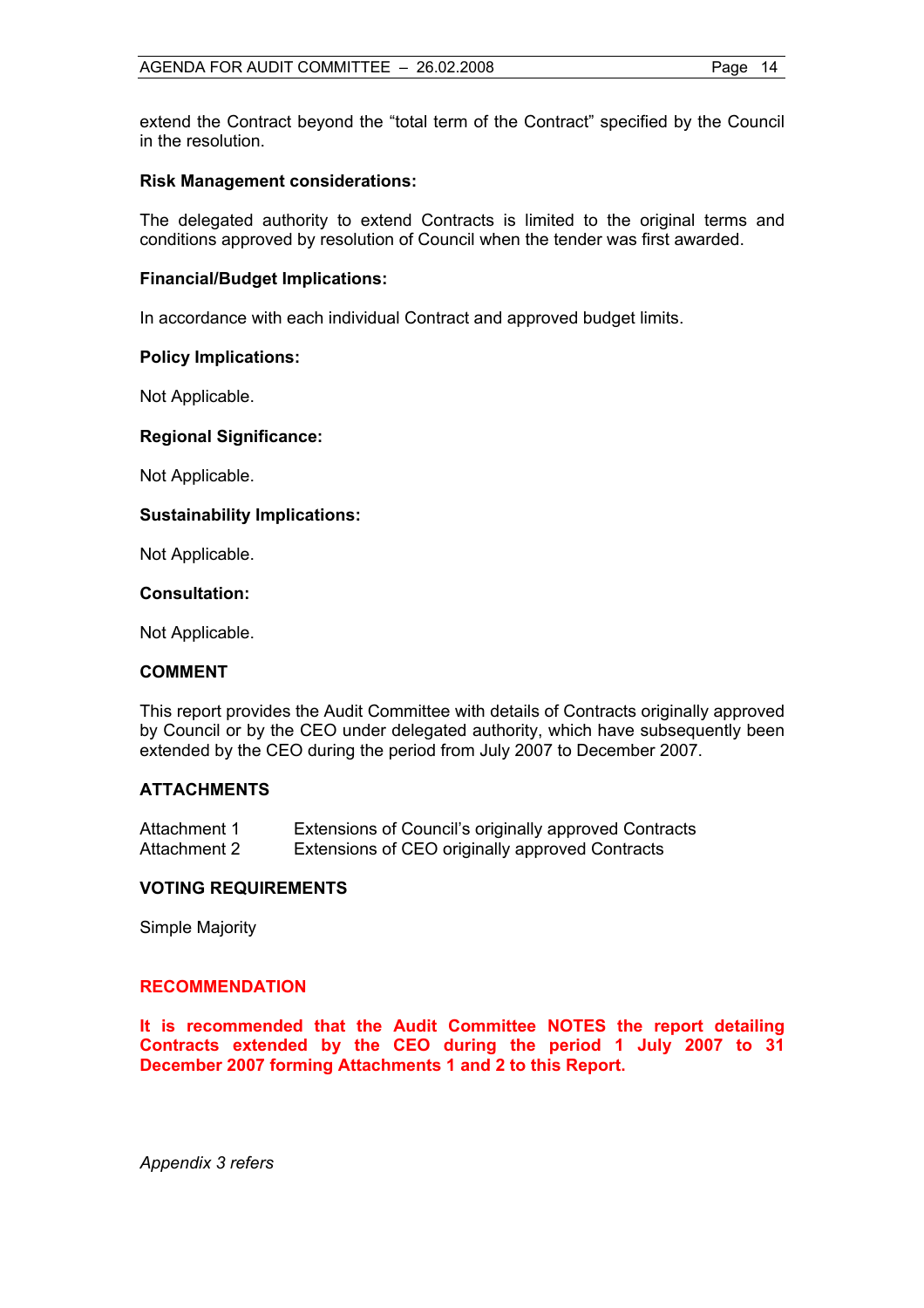extend the Contract beyond the "total term of the Contract" specified by the Council in the resolution.

#### **Risk Management considerations:**

The delegated authority to extend Contracts is limited to the original terms and conditions approved by resolution of Council when the tender was first awarded.

#### **Financial/Budget Implications:**

In accordance with each individual Contract and approved budget limits.

#### **Policy Implications:**

Not Applicable.

#### **Regional Significance:**

Not Applicable.

#### **Sustainability Implications:**

Not Applicable.

#### **Consultation:**

Not Applicable.

#### **COMMENT**

This report provides the Audit Committee with details of Contracts originally approved by Council or by the CEO under delegated authority, which have subsequently been extended by the CEO during the period from July 2007 to December 2007.

#### **ATTACHMENTS**

| Attachment 1 | Extensions of Council's originally approved Contracts |
|--------------|-------------------------------------------------------|
| Attachment 2 | Extensions of CEO originally approved Contracts       |

#### **VOTING REQUIREMENTS**

Simple Majority

#### **RECOMMENDATION**

**It is recommended that the Audit Committee NOTES the report detailing Contracts extended by the CEO during the period 1 July 2007 to 31 December 2007 forming Attachments 1 and 2 to this Report.** 

*Appendix 3 refers*